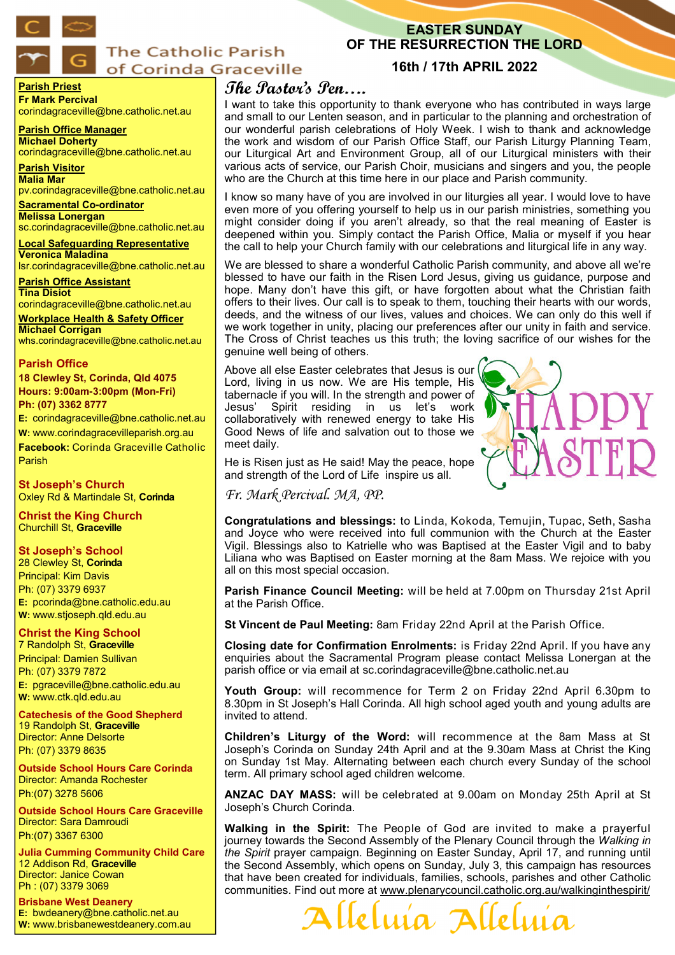

## **The Catholic Parish** of Corinda Graceville

## **EASTER SUNDAY OF THE RESURRECTION THE LORD**

## **16th / 17th APRIL 2022**

#### **Parish Priest Fr Mark Percival** corindagraceville@bne.catholic.net.au

**Parish Office Manager Michael Doherty** corindagraceville@bne.catholic.net.au

**Parish Visitor Malia Mar**  pv.corindagraceville@bne.catholic.net.au

**Sacramental Co-ordinator Melissa Lonergan** 

sc.corindagraceville@bne.catholic.net.au

**Local Safeguarding Representative Veronica Maladina** lsr.corindagraceville@bne.catholic.net.au

**Parish Office Assistant Tina Disiot**  corindagraceville@bne.catholic.net.au

**Workplace Health & Safety Officer Michael Corrigan** whs.corindagraceville@bne.catholic.net.au

#### **Parish Office**

**18 Clewley St, Corinda, Qld 4075 Hours: 9:00am-3:00pm (Mon-Fri) Ph: (07) 3362 8777**

**E:** corindagraceville@bne.catholic.net.au **W:** www.corindagracevilleparish.org.au

**Facebook:** Corinda Graceville Catholic Parish

**St Joseph's Church** Oxley Rd & Martindale St, **Corinda**

**Christ the King Church** Churchill St, **Graceville**

## **St Joseph's School**

28 Clewley St, **Corinda** Principal: Kim Davis Ph: (07) 3379 6937 **E:** pcorinda@bne.catholic.edu.au **W:** www.stjoseph.qld.edu.au

## **Christ the King School**

7 Randolph St, **Graceville** Principal: Damien Sullivan Ph: (07) 3379 7872 **E:** pgraceville@bne.catholic.edu.au **W:** www.ctk.qld.edu.au

**Catechesis of the Good Shepherd**  19 Randolph St, **Graceville**  Director: Anne Delsorte Ph: (07) 3379 8635

**Outside School Hours Care Corinda**  Director: Amanda Rochester Ph:(07) 3278 5606

**Outside School Hours Care Graceville**  Director: Sara Damroudi Ph:(07) 3367 6300

**Julia Cumming Community Child Care**  12 Addison Rd, **Graceville**  Director: Janice Cowan Ph : (07) 3379 3069

**Brisbane West Deanery E:** bwdeanery@bne.catholic.net.au **W:** www.brisbanewestdeanery.com.au

# **The Pastor's Pen….**

I want to take this opportunity to thank everyone who has contributed in ways large and small to our Lenten season, and in particular to the planning and orchestration of our wonderful parish celebrations of Holy Week. I wish to thank and acknowledge the work and wisdom of our Parish Office Staff, our Parish Liturgy Planning Team, our Liturgical Art and Environment Group, all of our Liturgical ministers with their various acts of service, our Parish Choir, musicians and singers and you, the people who are the Church at this time here in our place and Parish community.

I know so many have of you are involved in our liturgies all year. I would love to have even more of you offering yourself to help us in our parish ministries, something you might consider doing if you aren't already, so that the real meaning of Easter is deepened within you. Simply contact the Parish Office, Malia or myself if you hear the call to help your Church family with our celebrations and liturgical life in any way.

We are blessed to share a wonderful Catholic Parish community, and above all we're blessed to have our faith in the Risen Lord Jesus, giving us guidance, purpose and hope. Many don't have this gift, or have forgotten about what the Christian faith offers to their lives. Our call is to speak to them, touching their hearts with our words, deeds, and the witness of our lives, values and choices. We can only do this well if we work together in unity, placing our preferences after our unity in faith and service. The Cross of Christ teaches us this truth; the loving sacrifice of our wishes for the genuine well being of others.

Above all else Easter celebrates that Jesus is our Lord, living in us now. We are His temple, His tabernacle if you will. In the strength and power of Jesus' Spirit residing in us let's work collaboratively with renewed energy to take His Good News of life and salvation out to those we meet daily.



He is Risen just as He said! May the peace, hope and strength of the Lord of Life inspire us all.

*Fr. Mark Percival. MA, PP.* 

**Congratulations and blessings:** to Linda, Kokoda, Temujin, Tupac, Seth, Sasha and Joyce who were received into full communion with the Church at the Easter Vigil. Blessings also to Katrielle who was Baptised at the Easter Vigil and to baby Liliana who was Baptised on Easter morning at the 8am Mass. We rejoice with you all on this most special occasion.

**Parish Finance Council Meeting:** will be held at 7.00pm on Thursday 21st April at the Parish Office.

**St Vincent de Paul Meeting:** 8am Friday 22nd April at the Parish Office.

**Closing date for Confirmation Enrolments:** is Friday 22nd April. If you have any enquiries about the Sacramental Program please contact Melissa Lonergan at the parish office or via email at sc.corindagraceville@bne.catholic.net.au

**Youth Group:** will recommence for Term 2 on Friday 22nd April 6.30pm to 8.30pm in St Joseph's Hall Corinda. All high school aged youth and young adults are invited to attend.

**Children's Liturgy of the Word:** will recommence at the 8am Mass at St Joseph's Corinda on Sunday 24th April and at the 9.30am Mass at Christ the King on Sunday 1st May. Alternating between each church every Sunday of the school term. All primary school aged children welcome.

**ANZAC DAY MASS:** will be celebrated at 9.00am on Monday 25th April at St Joseph's Church Corinda.

**Walking in the Spirit:** The People of God are invited to make a prayerful journey towards the Second Assembly of the Plenary Council through the *Walking in the Spirit* prayer campaign. Beginning on Easter Sunday, April 17, and running until the Second Assembly, which opens on Sunday, July 3, this campaign has resources that have been created for individuals, families, schools, parishes and other Catholic communities. Find out more at www.plenarycouncil.catholic.org.au/walkinginthespirit/

Allelma Allelm